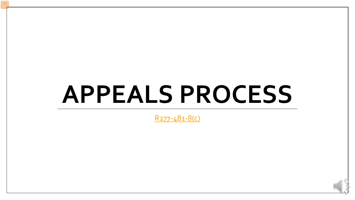# **APPEALS PROCESS**

[R277-481-8\(c\)](http://www.rules.utah.gov/publicat/code/r277/r277-481.htm)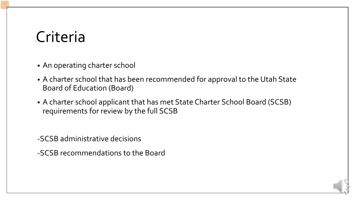### Criteria

- An operating charter school
- A charter school that has been recommended for approval to the Utah State Board of Education (Board)
- A charter school applicant that has met State Charter School Board (SCSB) requirements for review by the full SCSB

-SCSB administrative decisions

-SCSB recommendations to the Board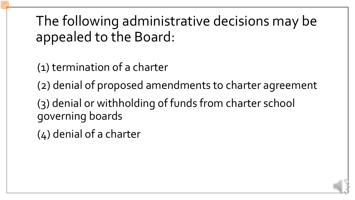The following administrative decisions may be appealed to the Board:

(1) termination of a charter

(2) denial of proposed amendments to charter agreement

(3) denial or withholding of funds from charter school governing boards

(4) denial of a charter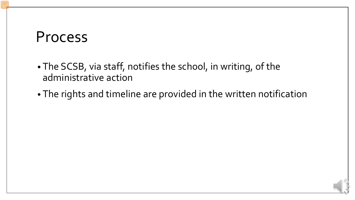#### Process

- The SCSB, via staff, notifies the school, in writing, of the administrative action
- The rights and timeline are provided in the written notification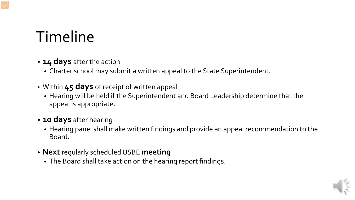### Timeline

#### • **14 days** after the action

- Charter school may submit a written appeal to the State Superintendent.
- Within **45 days** of receipt of written appeal
	- Hearing will be held if the Superintendent and Board Leadership determine that the appeal is appropriate.

#### • **10 days** after hearing

- Hearing panel shall make written findings and provide an appeal recommendation to the Board.
- **Next** regularly scheduled USBE **meeting**
	- The Board shall take action on the hearing report findings.